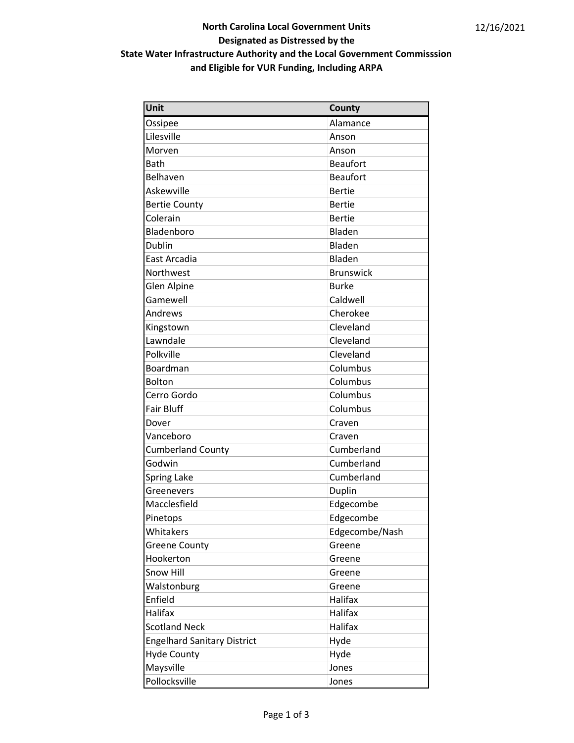## North Carolina Local Government Units Designated as Distressed by the State Water Infrastructure Authority and the Local Government Commisssion and Eligible for VUR Funding, Including ARPA

| Unit                               | County           |
|------------------------------------|------------------|
| Ossipee                            | Alamance         |
| Lilesville                         | Anson            |
| Morven                             | Anson            |
| <b>Bath</b>                        | <b>Beaufort</b>  |
| Belhaven                           | <b>Beaufort</b>  |
| Askewville                         | <b>Bertie</b>    |
| <b>Bertie County</b>               | <b>Bertie</b>    |
| Colerain                           | <b>Bertie</b>    |
| Bladenboro                         | Bladen           |
| Dublin                             | Bladen           |
| East Arcadia                       | Bladen           |
| Northwest                          | <b>Brunswick</b> |
| Glen Alpine                        | <b>Burke</b>     |
| Gamewell                           | Caldwell         |
| Andrews                            | Cherokee         |
| Kingstown                          | Cleveland        |
| Lawndale                           | Cleveland        |
| Polkville                          | Cleveland        |
| Boardman                           | Columbus         |
| Bolton                             | Columbus         |
| Cerro Gordo                        | Columbus         |
| <b>Fair Bluff</b>                  | Columbus         |
| Dover                              | Craven           |
| Vanceboro                          | Craven           |
| <b>Cumberland County</b>           | Cumberland       |
| Godwin                             | Cumberland       |
| <b>Spring Lake</b>                 | Cumberland       |
| Greenevers                         | Duplin           |
| Macclesfield                       | Edgecombe        |
| Pinetops                           | Edgecombe        |
| Whitakers                          | Edgecombe/Nash   |
| <b>Greene County</b>               | Greene           |
| Hookerton                          | Greene           |
| Snow Hill                          | Greene           |
| Walstonburg                        | Greene           |
| Enfield                            | Halifax          |
| Halifax                            | <b>Halifax</b>   |
| <b>Scotland Neck</b>               | Halifax          |
| <b>Engelhard Sanitary District</b> | Hyde             |
| <b>Hyde County</b>                 | Hyde             |
| Maysville                          | Jones            |
| Pollocksville                      | Jones            |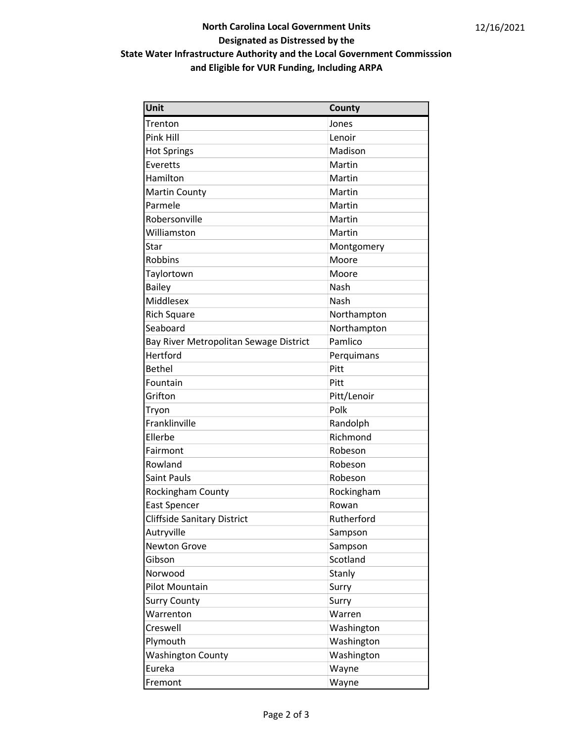## North Carolina Local Government Units Designated as Distressed by the State Water Infrastructure Authority and the Local Government Commisssion and Eligible for VUR Funding, Including ARPA

| Unit                                   | County      |
|----------------------------------------|-------------|
| Trenton                                | Jones       |
| Pink Hill                              | Lenoir      |
| <b>Hot Springs</b>                     | Madison     |
| Everetts                               | Martin      |
| Hamilton                               | Martin      |
| <b>Martin County</b>                   | Martin      |
| Parmele                                | Martin      |
| Robersonville                          | Martin      |
| Williamston                            | Martin      |
| Star                                   | Montgomery  |
| Robbins                                | Moore       |
| Taylortown                             | Moore       |
| <b>Bailey</b>                          | Nash        |
| Middlesex                              | Nash        |
| <b>Rich Square</b>                     | Northampton |
| Seaboard                               | Northampton |
| Bay River Metropolitan Sewage District | Pamlico     |
| Hertford                               | Perquimans  |
| <b>Bethel</b>                          | Pitt        |
| Fountain                               | Pitt        |
| Grifton                                | Pitt/Lenoir |
| Tryon                                  | Polk        |
| Franklinville                          | Randolph    |
| Ellerbe                                | Richmond    |
| Fairmont                               | Robeson     |
| Rowland                                | Robeson     |
| <b>Saint Pauls</b>                     | Robeson     |
| Rockingham County                      | Rockingham  |
| <b>East Spencer</b>                    | Rowan       |
| <b>Cliffside Sanitary District</b>     | Rutherford  |
| Autryville                             | Sampson     |
| <b>Newton Grove</b>                    | Sampson     |
| Gibson                                 | Scotland    |
| Norwood                                | Stanly      |
| Pilot Mountain                         | Surry       |
| <b>Surry County</b>                    | Surry       |
| Warrenton                              | Warren      |
| Creswell                               | Washington  |
| Plymouth                               | Washington  |
| <b>Washington County</b>               | Washington  |
| Eureka                                 | Wayne       |
| Fremont                                | Wayne       |